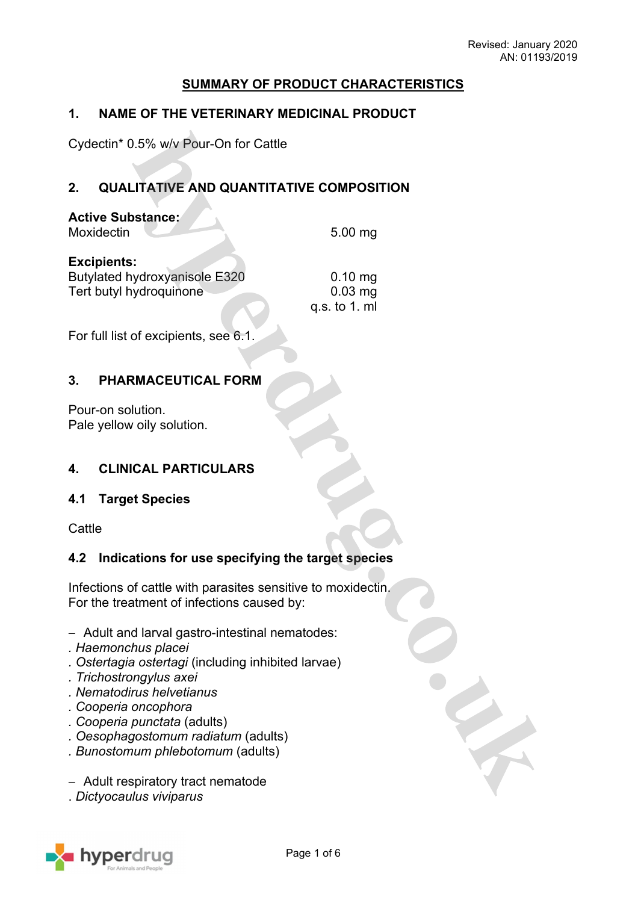## **SUMMARY OF PRODUCT CHARACTERISTICS**

## **1. NAME OF THE VETERINARY MEDICINAL PRODUCT**

Cydectin\* 0.5% w/v Pour-On for Cattle

# **2. QUALITATIVE AND QUANTITATIVE COMPOSITION**

| <b>Active Substance:</b><br>Moxidectin | $5.00$ mg     |
|----------------------------------------|---------------|
| <b>Excipients:</b>                     | $0.10$ mg     |
| <b>Butylated hydroxyanisole E320</b>   | $0.03$ mg     |
| Tert butyl hydroquinone                | q.s. to 1. ml |

For full list of excipients, see 6.1.

## **3. PHARMACEUTICAL FORM**

Pour-on solution. Pale yellow oily solution.

## **4. CLINICAL PARTICULARS**

## **4.1 Target Species**

**Cattle** 

## **4.2 Indications for use specifying the target species**

Infections of cattle with parasites sensitive to moxidectin. For the treatment of infections caused by:

- Adult and larval gastro-intestinal nematodes:
- *. Haemonchus placei*
- *. Ostertagia ostertagi* (including inhibited larvae)
- *. Trichostrongylus axei*
- *. Nematodirus helvetianus*
- *. Cooperia oncophora*
- *. Cooperia punctata* (adults)
- *. Oesophagostomum radiatum* (adults)
- *. Bunostomum phlebotomum* (adults)
- Adult respiratory tract nematode
- . *Dictyocaulus viviparus*

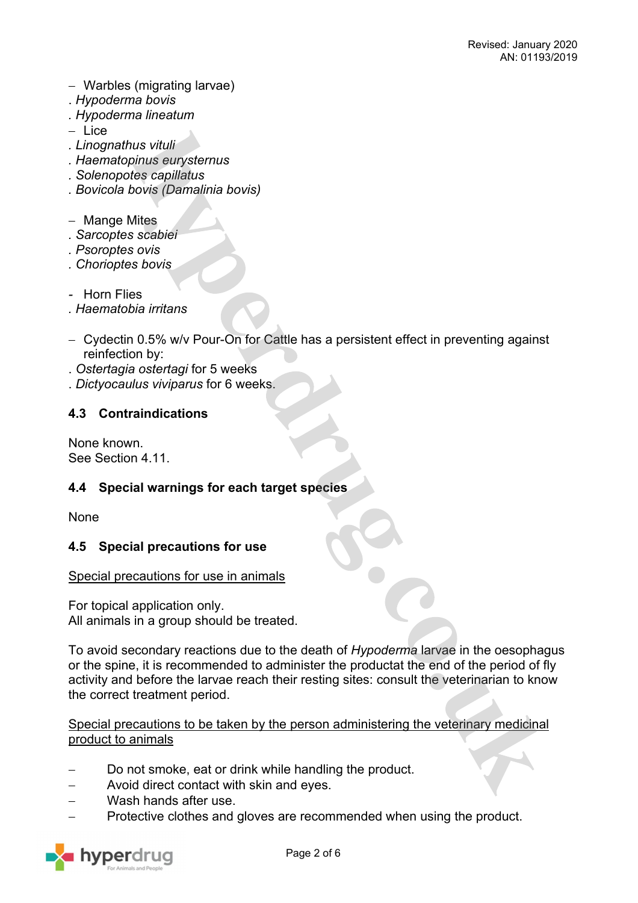- Warbles (migrating larvae)
- . *Hypoderma bovis*
- *. Hypoderma lineatum*
- $-$  Lice
- *. Linognathus vituli*
- *. Haematopinus eurysternus*
- *. Solenopotes capillatus*
- *. Bovicola bovis (Damalinia bovis)*
- Mange Mites
- *. Sarcoptes scabiei*
- *. Psoroptes ovis*
- *. Chorioptes bovis*
- *-* Horn Flies
- *. Haematobia irritans*
- Cydectin 0.5% w/v Pour-On for Cattle has a persistent effect in preventing against reinfection by:
- . *Ostertagia ostertagi* for 5 weeks
- . *Dictyocaulus viviparus* for 6 weeks.

## **4.3 Contraindications**

None known. See Section 4.11.

## **4.4 Special warnings for each target species**

None

### **4.5 Special precautions for use**

### Special precautions for use in animals

For topical application only. All animals in a group should be treated.

To avoid secondary reactions due to the death of *Hypoderma* larvae in the oesophagus or the spine, it is recommended to administer the productat the end of the period of fly activity and before the larvae reach their resting sites: consult the veterinarian to know the correct treatment period.

### Special precautions to be taken by the person administering the veterinary medicinal product to animals

- Do not smoke, eat or drink while handling the product.
- Avoid direct contact with skin and eyes.
- Wash hands after use.
- Protective clothes and gloves are recommended when using the product.

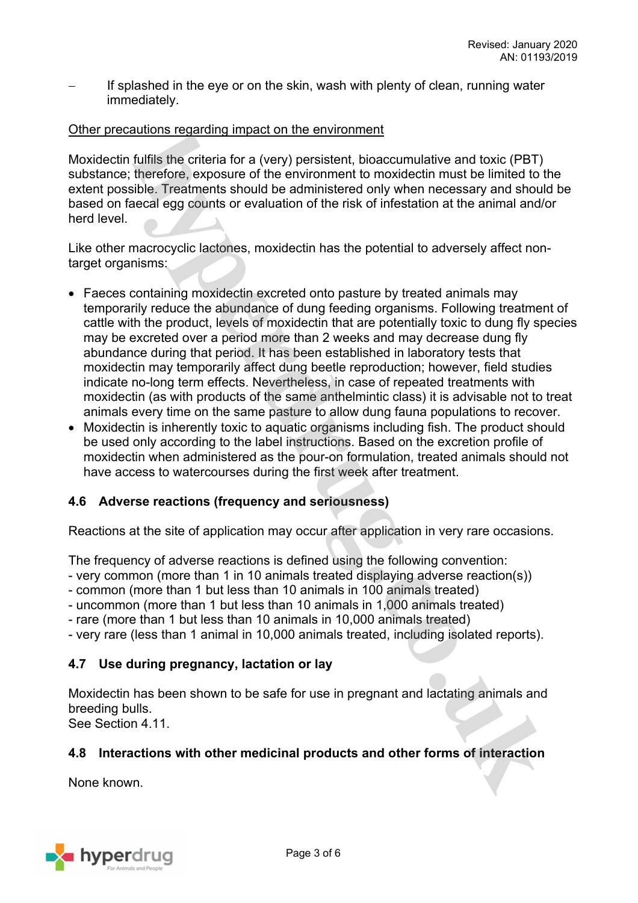If splashed in the eye or on the skin, wash with plenty of clean, running water immediately.

### Other precautions regarding impact on the environment

Moxidectin fulfils the criteria for a (very) persistent, bioaccumulative and toxic (PBT) substance; therefore, exposure of the environment to moxidectin must be limited to the extent possible. Treatments should be administered only when necessary and should be based on faecal egg counts or evaluation of the risk of infestation at the animal and/or herd level.

Like other macrocyclic lactones, moxidectin has the potential to adversely affect nontarget organisms:

- Faeces containing moxidectin excreted onto pasture by treated animals may temporarily reduce the abundance of dung feeding organisms. Following treatment of cattle with the product, levels of moxidectin that are potentially toxic to dung fly species may be excreted over a period more than 2 weeks and may decrease dung fly abundance during that period. It has been established in laboratory tests that moxidectin may temporarily affect dung beetle reproduction; however, field studies indicate no-long term effects. Nevertheless, in case of repeated treatments with moxidectin (as with products of the same anthelmintic class) it is advisable not to treat animals every time on the same pasture to allow dung fauna populations to recover.
- Moxidectin is inherently toxic to aquatic organisms including fish. The product should be used only according to the label instructions. Based on the excretion profile of moxidectin when administered as the pour-on formulation, treated animals should not have access to watercourses during the first week after treatment.

## **4.6 Adverse reactions (frequency and seriousness)**

Reactions at the site of application may occur after application in very rare occasions.

The frequency of adverse reactions is defined using the following convention:

- very common (more than 1 in 10 animals treated displaying adverse reaction(s))
- common (more than 1 but less than 10 animals in 100 animals treated)
- uncommon (more than 1 but less than 10 animals in 1,000 animals treated)
- rare (more than 1 but less than 10 animals in 10,000 animals treated)
- very rare (less than 1 animal in 10,000 animals treated, including isolated reports).

## **4.7 Use during pregnancy, lactation or lay**

Moxidectin has been shown to be safe for use in pregnant and lactating animals and breeding bulls.

See Section 4.11

### **4.8 Interactions with other medicinal products and other forms of interaction**

None known.

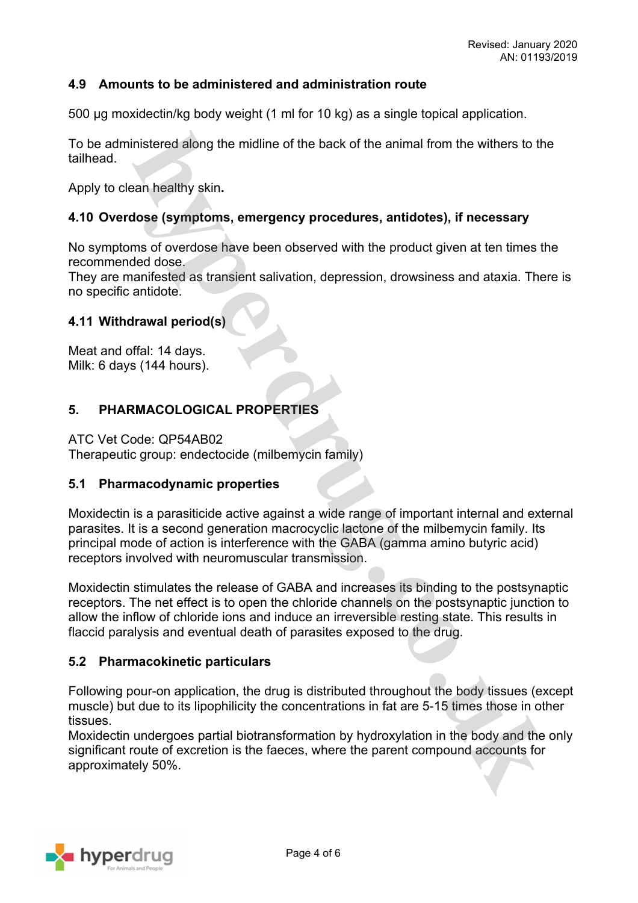### **4.9 Amounts to be administered and administration route**

500 µg moxidectin/kg body weight (1 ml for 10 kg) as a single topical application.

To be administered along the midline of the back of the animal from the withers to the tailhead.

Apply to clean healthy skin**.**

### **4.10 Overdose (symptoms, emergency procedures, antidotes), if necessary**

No symptoms of overdose have been observed with the product given at ten times the recommended dose.

They are manifested as transient salivation, depression, drowsiness and ataxia. There is no specific antidote.

### **4.11 Withdrawal period(s)**

Meat and offal: 14 days. Milk: 6 days (144 hours).

## **5. PHARMACOLOGICAL PROPERTIES**

ATC Vet Code: QP54AB02

Therapeutic group: endectocide (milbemycin family)

## **5.1 Pharmacodynamic properties**

Moxidectin is a parasiticide active against a wide range of important internal and external parasites. It is a second generation macrocyclic lactone of the milbemycin family. Its principal mode of action is interference with the GABA (gamma amino butyric acid) receptors involved with neuromuscular transmission.

Moxidectin stimulates the release of GABA and increases its binding to the postsynaptic receptors. The net effect is to open the chloride channels on the postsynaptic junction to allow the inflow of chloride ions and induce an irreversible resting state. This results in flaccid paralysis and eventual death of parasites exposed to the drug.

### **5.2 Pharmacokinetic particulars**

Following pour-on application, the drug is distributed throughout the body tissues (except muscle) but due to its lipophilicity the concentrations in fat are 5-15 times those in other tissues.

Moxidectin undergoes partial biotransformation by hydroxylation in the body and the only significant route of excretion is the faeces, where the parent compound accounts for approximately 50%.

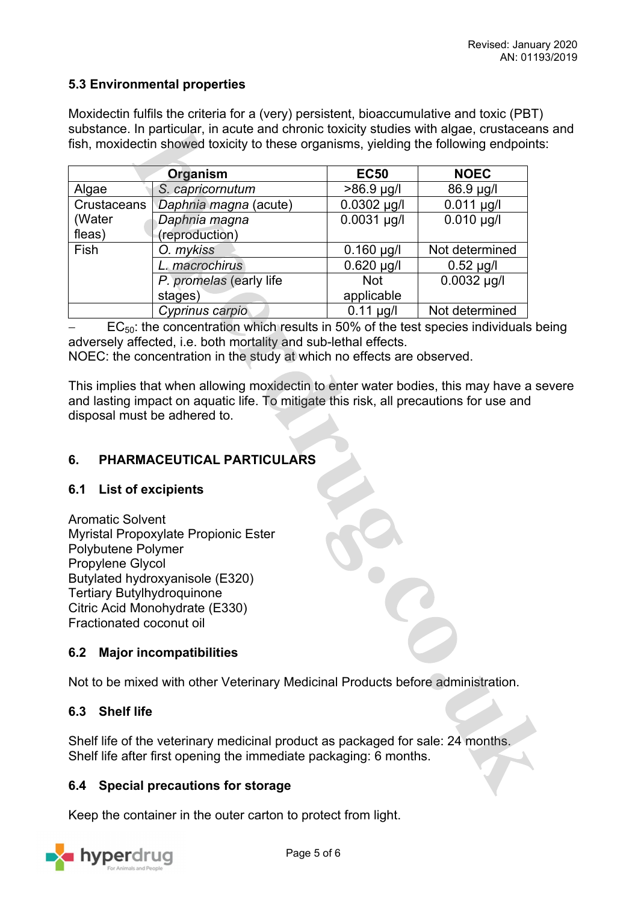## **5.3 Environmental properties**

Moxidectin fulfils the criteria for a (very) persistent, bioaccumulative and toxic (PBT) substance. In particular, in acute and chronic toxicity studies with algae, crustaceans and fish, moxidectin showed toxicity to these organisms, yielding the following endpoints:

|             | Organism                | <b>EC50</b>     | <b>NOEC</b>     |
|-------------|-------------------------|-----------------|-----------------|
| Algae       | S. capricornutum        | $>86.9$ µg/l    | 86.9 µg/l       |
| Crustaceans | Daphnia magna (acute)   | $0.0302$ µg/l   | $0.011 \mu g/l$ |
| (Water      | Daphnia magna           | $0.0031$ µg/l   | $0.010 \mu g/l$ |
| fleas)      | (reproduction)          |                 |                 |
| Fish        | O. mykiss               | $0.160$ µg/l    | Not determined  |
|             | macrochirus             | $0.620 \mu g/l$ | $0.52$ µg/l     |
|             | P. promelas (early life | <b>Not</b>      | $0.0032$ µg/l   |
|             | stages)                 | applicable      |                 |
|             | Cyprinus carpio         | $0.11 \mu g/l$  | Not determined  |

 $EC_{50}$ : the concentration which results in 50% of the test species individuals being adversely affected, i.e. both mortality and sub-lethal effects.

NOEC: the concentration in the study at which no effects are observed.

This implies that when allowing moxidectin to enter water bodies, this may have a severe and lasting impact on aquatic life. To mitigate this risk, all precautions for use and disposal must be adhered to.

# **6. PHARMACEUTICAL PARTICULARS**

## **6.1 List of excipients**

Aromatic Solvent Myristal Propoxylate Propionic Ester Polybutene Polymer Propylene Glycol Butylated hydroxyanisole (E320) Tertiary Butylhydroquinone Citric Acid Monohydrate (E330) Fractionated coconut oil

## **6.2 Major incompatibilities**

Not to be mixed with other Veterinary Medicinal Products before administration.

## **6.3 Shelf life**

Shelf life of the veterinary medicinal product as packaged for sale: 24 months. Shelf life after first opening the immediate packaging: 6 months.

## **6.4 Special precautions for storage**

Keep the container in the outer carton to protect from light.